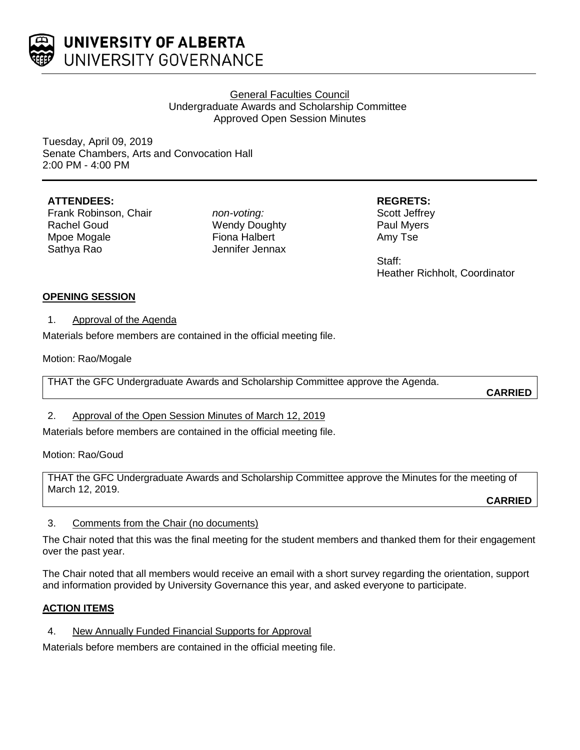

# General Faculties Council Undergraduate Awards and Scholarship Committee Approved Open Session Minutes

Tuesday, April 09, 2019 Senate Chambers, Arts and Convocation Hall 2:00 PM - 4:00 PM

# **ATTENDEES:**

Frank Robinson, Chair Rachel Goud Mpoe Mogale Sathya Rao

*non-voting:* Wendy Doughty Fiona Halbert Jennifer Jennax **REGRETS:**

Scott Jeffrey Paul Myers Amy Tse

Staff: Heather Richholt, Coordinator

# **OPENING SESSION**

1. Approval of the Agenda

Materials before members are contained in the official meeting file.

Motion: Rao/Mogale

THAT the GFC Undergraduate Awards and Scholarship Committee approve the Agenda.

**CARRIED**

# 2. Approval of the Open Session Minutes of March 12, 2019

Materials before members are contained in the official meeting file.

Motion: Rao/Goud

THAT the GFC Undergraduate Awards and Scholarship Committee approve the Minutes for the meeting of March 12, 2019.

**CARRIED**

### 3. Comments from the Chair (no documents)

The Chair noted that this was the final meeting for the student members and thanked them for their engagement over the past year.

The Chair noted that all members would receive an email with a short survey regarding the orientation, support and information provided by University Governance this year, and asked everyone to participate.

# **ACTION ITEMS**

4. New Annually Funded Financial Supports for Approval

Materials before members are contained in the official meeting file.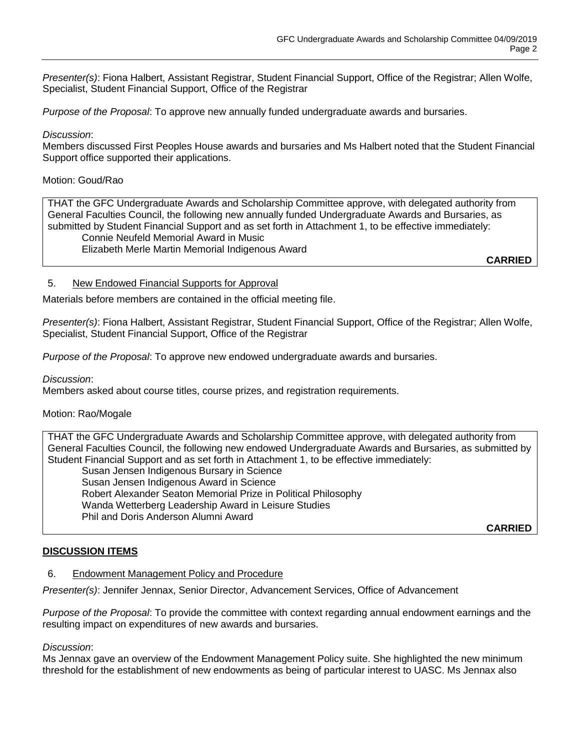*Presenter(s)*: Fiona Halbert, Assistant Registrar, Student Financial Support, Office of the Registrar; Allen Wolfe, Specialist, Student Financial Support, Office of the Registrar

*Purpose of the Proposal*: To approve new annually funded undergraduate awards and bursaries.

#### *Discussion*:

Members discussed First Peoples House awards and bursaries and Ms Halbert noted that the Student Financial Support office supported their applications.

#### Motion: Goud/Rao

THAT the GFC Undergraduate Awards and Scholarship Committee approve, with delegated authority from General Faculties Council, the following new annually funded Undergraduate Awards and Bursaries, as submitted by Student Financial Support and as set forth in Attachment 1, to be effective immediately: Connie Neufeld Memorial Award in Music Elizabeth Merle Martin Memorial Indigenous Award

**CARRIED**

### 5. New Endowed Financial Supports for Approval

Materials before members are contained in the official meeting file.

*Presenter(s)*: Fiona Halbert, Assistant Registrar, Student Financial Support, Office of the Registrar; Allen Wolfe, Specialist, Student Financial Support, Office of the Registrar

*Purpose of the Proposal*: To approve new endowed undergraduate awards and bursaries.

*Discussion*:

Members asked about course titles, course prizes, and registration requirements.

### Motion: Rao/Mogale

THAT the GFC Undergraduate Awards and Scholarship Committee approve, with delegated authority from General Faculties Council, the following new endowed Undergraduate Awards and Bursaries, as submitted by Student Financial Support and as set forth in Attachment 1, to be effective immediately:

Susan Jensen Indigenous Bursary in Science Susan Jensen Indigenous Award in Science Robert Alexander Seaton Memorial Prize in Political Philosophy Wanda Wetterberg Leadership Award in Leisure Studies Phil and Doris Anderson Alumni Award

**CARRIED**

### **DISCUSSION ITEMS**

#### 6. Endowment Management Policy and Procedure

*Presenter(s)*: Jennifer Jennax, Senior Director, Advancement Services, Office of Advancement

*Purpose of the Proposal*: To provide the committee with context regarding annual endowment earnings and the resulting impact on expenditures of new awards and bursaries.

#### *Discussion*:

Ms Jennax gave an overview of the Endowment Management Policy suite. She highlighted the new minimum threshold for the establishment of new endowments as being of particular interest to UASC. Ms Jennax also